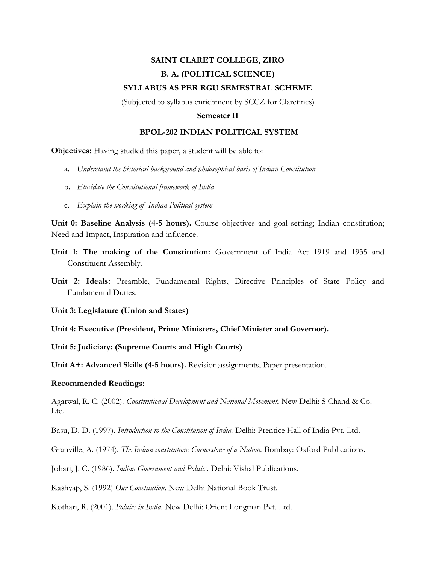## **SAINT CLARET COLLEGE, ZIRO B. A. (POLITICAL SCIENCE) SYLLABUS AS PER RGU SEMESTRAL SCHEME**

(Subjected to syllabus enrichment by SCCZ for Claretines)

## **Semester II**

## **BPOL-202 INDIAN POLITICAL SYSTEM**

**Objectives:** Having studied this paper, a student will be able to:

- a. *Understand the historical background and philosophical basis of Indian Constitution*
- b. *Elucidate the Constitutional framework of India*
- c. *Explain the working of Indian Political system*

Unit 0: Baseline Analysis (4-5 hours). Course objectives and goal setting; Indian constitution; Need and Impact, Inspiration and influence.

- **Unit 1: The making of the Constitution:** Government of India Act 1919 and 1935 and Constituent Assembly.
- **Unit 2: Ideals:** Preamble, Fundamental Rights, Directive Principles of State Policy and Fundamental Duties.

**Unit 3: Legislature (Union and States)**

**Unit 4: Executive (President, Prime Ministers, Chief Minister and Governor).**

**Unit 5: Judiciary: (Supreme Courts and High Courts)**

**Unit A+: Advanced Skills (4-5 hours).** Revision;assignments, Paper presentation.

## **Recommended Readings:**

Agarwal, R. C. (2002). *Constitutional Development and National Movement.* New Delhi: S Chand & Co. Ltd.

Basu, D. D. (1997). *Introduction to the Constitution of India.* Delhi: Prentice Hall of India Pvt. Ltd.

Granville, A. (1974). *The Indian constitution: Cornerstone of a Nation.* Bombay: Oxford Publications.

Johari, J. C. (1986). *Indian Government and Politics.* Delhi: Vishal Publications.

Kashyap, S. (1992) *Our Constitution*. New Delhi National Book Trust.

Kothari, R. (2001). *Politics in India.* New Delhi: Orient Longman Pvt. Ltd.